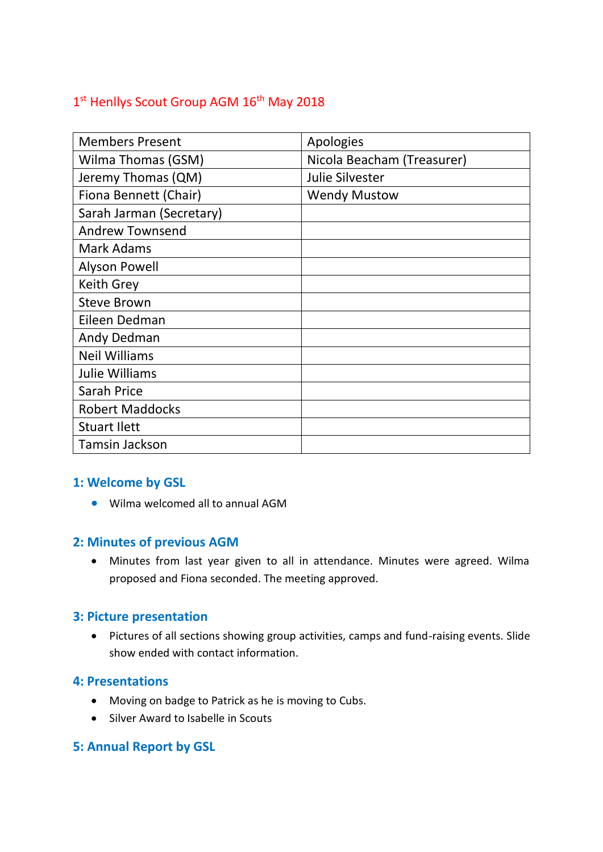# 1<sup>st</sup> Henllys Scout Group AGM 16<sup>th</sup> May 2018

| <b>Members Present</b>   | Apologies                  |
|--------------------------|----------------------------|
| Wilma Thomas (GSM)       | Nicola Beacham (Treasurer) |
| Jeremy Thomas (QM)       | Julie Silvester            |
| Fiona Bennett (Chair)    | <b>Wendy Mustow</b>        |
| Sarah Jarman (Secretary) |                            |
| <b>Andrew Townsend</b>   |                            |
| Mark Adams               |                            |
| <b>Alyson Powell</b>     |                            |
| <b>Keith Grey</b>        |                            |
| <b>Steve Brown</b>       |                            |
| Eileen Dedman            |                            |
| Andy Dedman              |                            |
| <b>Neil Williams</b>     |                            |
| Julie Williams           |                            |
| Sarah Price              |                            |
| <b>Robert Maddocks</b>   |                            |
| <b>Stuart Ilett</b>      |                            |
| <b>Tamsin Jackson</b>    |                            |

### **1: Welcome by GSL**

• Wilma welcomed all to annual AGM

### **2: Minutes of previous AGM**

• Minutes from last year given to all in attendance. Minutes were agreed. Wilma proposed and Fiona seconded. The meeting approved.

### **3: Picture presentation**

• Pictures of all sections showing group activities, camps and fund-raising events. Slide show ended with contact information.

### **4: Presentations**

- Moving on badge to Patrick as he is moving to Cubs.
- Silver Award to Isabelle in Scouts

### **5: Annual Report by GSL**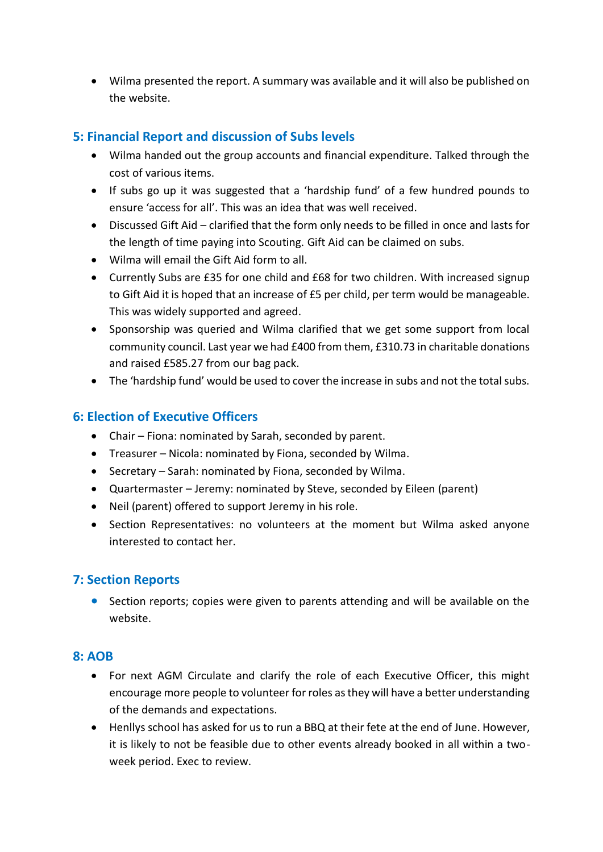• Wilma presented the report. A summary was available and it will also be published on the website.

### **5: Financial Report and discussion of Subs levels**

- Wilma handed out the group accounts and financial expenditure. Talked through the cost of various items.
- If subs go up it was suggested that a 'hardship fund' of a few hundred pounds to ensure 'access for all'. This was an idea that was well received.
- Discussed Gift Aid clarified that the form only needs to be filled in once and lasts for the length of time paying into Scouting. Gift Aid can be claimed on subs.
- Wilma will email the Gift Aid form to all.
- Currently Subs are £35 for one child and £68 for two children. With increased signup to Gift Aid it is hoped that an increase of £5 per child, per term would be manageable. This was widely supported and agreed.
- Sponsorship was queried and Wilma clarified that we get some support from local community council. Last year we had £400 from them, £310.73 in charitable donations and raised £585.27 from our bag pack.
- The 'hardship fund' would be used to cover the increase in subs and not the total subs.

### **6: Election of Executive Officers**

- Chair Fiona: nominated by Sarah, seconded by parent.
- Treasurer Nicola: nominated by Fiona, seconded by Wilma.
- Secretary Sarah: nominated by Fiona, seconded by Wilma.
- Quartermaster Jeremy: nominated by Steve, seconded by Eileen (parent)
- Neil (parent) offered to support Jeremy in his role.
- Section Representatives: no volunteers at the moment but Wilma asked anyone interested to contact her.

### **7: Section Reports**

• Section reports; copies were given to parents attending and will be available on the website.

### **8: AOB**

- For next AGM Circulate and clarify the role of each Executive Officer, this might encourage more people to volunteer for roles as they will have a better understanding of the demands and expectations.
- Henllys school has asked for us to run a BBQ at their fete at the end of June. However, it is likely to not be feasible due to other events already booked in all within a twoweek period. Exec to review.